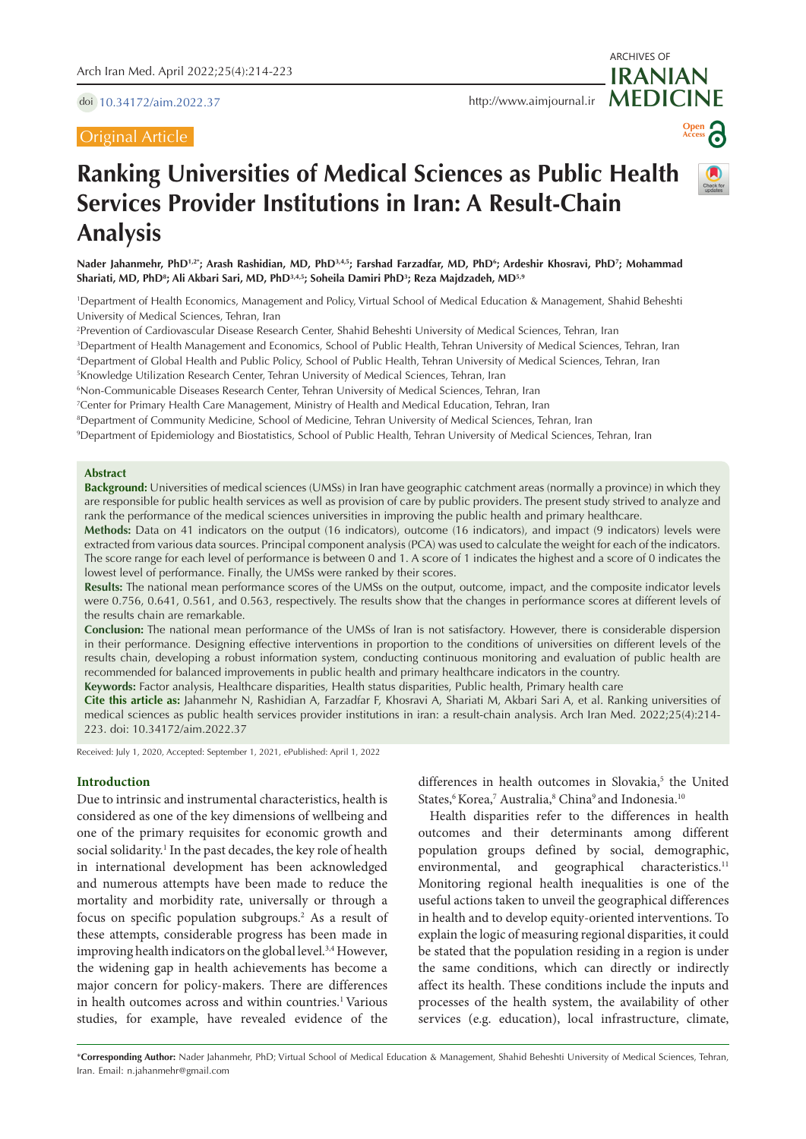doi [10.34172/aim.2022.37](https://doi.org/10.34172/aim.2022.37)

# Original Article

ARCHIVES OF



# **Ranking Universities of Medical Sciences as Public Health Services Provider Institutions in Iran: A Result-Chain Analysis**

**Nader Jahanmehr, PhD1,2\*; Arash Rashidian, MD, PhD3,4,5; Farshad Farzadfar, MD, PhD6 ; Ardeshir Khosravi, PhD7 ; Mohammad Shariati, MD, PhD8 ; Ali Akbari Sari, MD, PhD3,4,5; Soheila Damiri PhD3 ; Reza Majdzadeh, MD5,9**

1 Department of Health Economics, Management and Policy, Virtual School of Medical Education & Management, Shahid Beheshti University of Medical Sciences, Tehran, Iran

2 Prevention of Cardiovascular Disease Research Center, Shahid Beheshti University of Medical Sciences, Tehran, Iran

3 Department of Health Management and Economics, School of Public Health, Tehran University of Medical Sciences, Tehran, Iran

4 Department of Global Health and Public Policy, School of Public Health, Tehran University of Medical Sciences, Tehran, Iran

5 Knowledge Utilization Research Center, Tehran University of Medical Sciences, Tehran, Iran

6 Non-Communicable Diseases Research Center, Tehran University of Medical Sciences, Tehran, Iran

7 Center for Primary Health Care Management, Ministry of Health and Medical Education, Tehran, Iran

8 Department of Community Medicine, School of Medicine, Tehran University of Medical Sciences, Tehran, Iran

9 Department of Epidemiology and Biostatistics, School of Public Health, Tehran University of Medical Sciences, Tehran, Iran

### **Abstract**

**Background:** Universities of medical sciences (UMSs) in Iran have geographic catchment areas (normally a province) in which they are responsible for public health services as well as provision of care by public providers. The present study strived to analyze and rank the performance of the medical sciences universities in improving the public health and primary healthcare.

**Methods:** Data on 41 indicators on the output (16 indicators), outcome (16 indicators), and impact (9 indicators) levels were extracted from various data sources. Principal component analysis (PCA) was used to calculate the weight for each of the indicators. The score range for each level of performance is between 0 and 1. A score of 1 indicates the highest and a score of 0 indicates the lowest level of performance. Finally, the UMSs were ranked by their scores.

**Results:** The national mean performance scores of the UMSs on the output, outcome, impact, and the composite indicator levels were 0.756, 0.641, 0.561, and 0.563, respectively. The results show that the changes in performance scores at different levels of the results chain are remarkable.

**Conclusion:** The national mean performance of the UMSs of Iran is not satisfactory. However, there is considerable dispersion in their performance. Designing effective interventions in proportion to the conditions of universities on different levels of the results chain, developing a robust information system, conducting continuous monitoring and evaluation of public health are recommended for balanced improvements in public health and primary healthcare indicators in the country.

**Keywords:** Factor analysis, Healthcare disparities, Health status disparities, Public health, Primary health care

**Cite this article as:** Jahanmehr N, Rashidian A, Farzadfar F, Khosravi A, Shariati M, Akbari Sari A, et al. Ranking universities of medical sciences as public health services provider institutions in iran: a result-chain analysis. Arch Iran Med. 2022;25(4):214- 223. doi: 10.34172/aim.2022.37

Received: July 1, 2020, Accepted: September 1, 2021, ePublished: April 1, 2022

### **Introduction**

Due to intrinsic and instrumental characteristics, health is considered as one of the key dimensions of wellbeing and one of the primary requisites for economic growth and social solidarity.<sup>1</sup> In the past decades, the key role of health in international development has been acknowledged and numerous attempts have been made to reduce the mortality and morbidity rate, universally or through a focus on specific population subgroups.<sup>2</sup> As a result of these attempts, considerable progress has been made in improving health indicators on the global level.<sup>3,4</sup> However, the widening gap in health achievements has become a major concern for policy-makers. There are differences in health outcomes across and within countries.<sup>1</sup> Various studies, for example, have revealed evidence of the differences in health outcomes in Slovakia,<sup>5</sup> the United States,<sup>6</sup> Korea,<sup>7</sup> Australia,<sup>8</sup> China<sup>9</sup> and Indonesia.<sup>10</sup>

Health disparities refer to the differences in health outcomes and their determinants among different population groups defined by social, demographic, environmental, and geographical characteristics.<sup>11</sup> Monitoring regional health inequalities is one of the useful actions taken to unveil the geographical differences in health and to develop equity-oriented interventions. To explain the logic of measuring regional disparities, it could be stated that the population residing in a region is under the same conditions, which can directly or indirectly affect its health. These conditions include the inputs and processes of the health system, the availability of other services (e.g. education), local infrastructure, climate,

\***Corresponding Author:** Nader Jahanmehr, PhD; Virtual School of Medical Education & Management, Shahid Beheshti University of Medical Sciences, Tehran, Iran. Email: [n.jahanmehr@gmail.com](mailto:n.jahanmehr@gmail.com)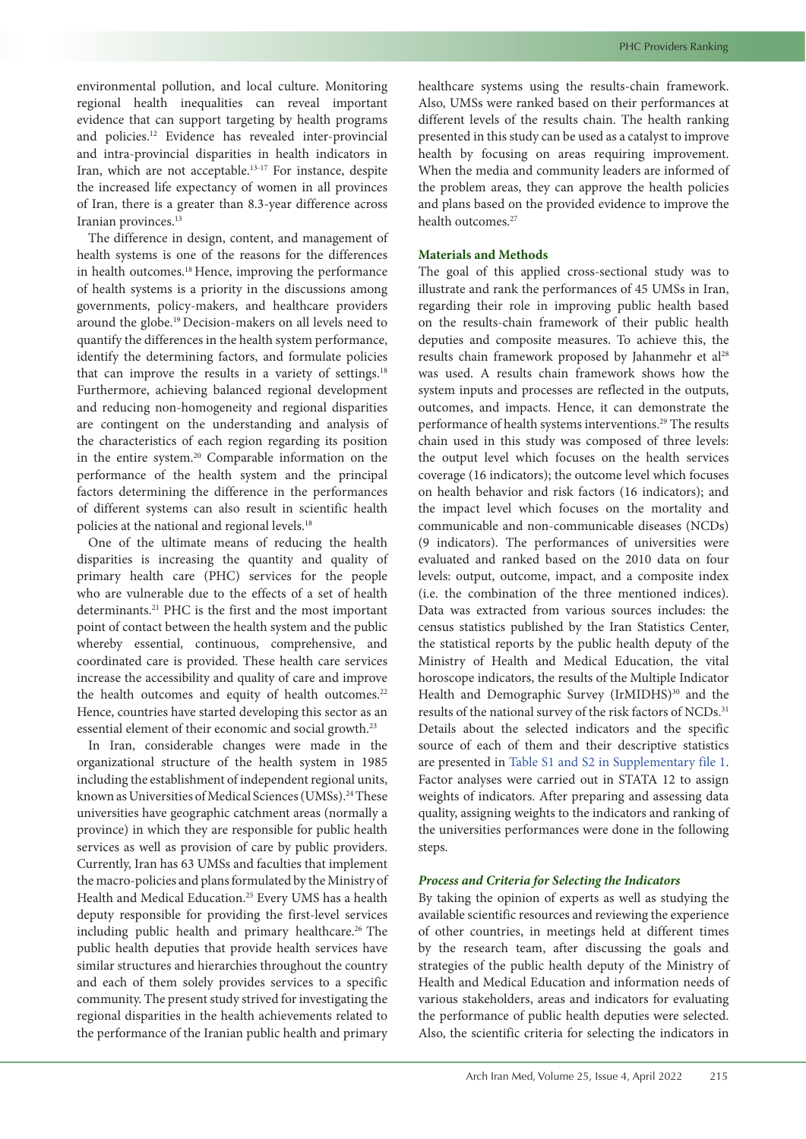environmental pollution, and local culture. Monitoring regional health inequalities can reveal important evidence that can support targeting by health programs and policies.12 Evidence has revealed inter-provincial and intra-provincial disparities in health indicators in Iran, which are not acceptable.13-17 For instance, despite the increased life expectancy of women in all provinces of Iran, there is a greater than 8.3-year difference across Iranian provinces.<sup>13</sup>

The difference in design, content, and management of health systems is one of the reasons for the differences in health outcomes.<sup>18</sup> Hence, improving the performance of health systems is a priority in the discussions among governments, policy-makers, and healthcare providers around the globe.19 Decision-makers on all levels need to quantify the differences in the health system performance, identify the determining factors, and formulate policies that can improve the results in a variety of settings.<sup>18</sup> Furthermore, achieving balanced regional development and reducing non-homogeneity and regional disparities are contingent on the understanding and analysis of the characteristics of each region regarding its position in the entire system.20 Comparable information on the performance of the health system and the principal factors determining the difference in the performances of different systems can also result in scientific health policies at the national and regional levels.<sup>18</sup>

One of the ultimate means of reducing the health disparities is increasing the quantity and quality of primary health care (PHC) services for the people who are vulnerable due to the effects of a set of health determinants.21 PHC is the first and the most important point of contact between the health system and the public whereby essential, continuous, comprehensive, and coordinated care is provided. These health care services increase the accessibility and quality of care and improve the health outcomes and equity of health outcomes.<sup>22</sup> Hence, countries have started developing this sector as an essential element of their economic and social growth.23

In Iran, considerable changes were made in the organizational structure of the health system in 1985 including the establishment of independent regional units, known as Universities of Medical Sciences (UMSs).<sup>24</sup> These universities have geographic catchment areas (normally a province) in which they are responsible for public health services as well as provision of care by public providers. Currently, Iran has 63 UMSs and faculties that implement the macro-policies and plans formulated by the Ministry of Health and Medical Education.<sup>25</sup> Every UMS has a health deputy responsible for providing the first-level services including public health and primary healthcare.<sup>26</sup> The public health deputies that provide health services have similar structures and hierarchies throughout the country and each of them solely provides services to a specific community. The present study strived for investigating the regional disparities in the health achievements related to the performance of the Iranian public health and primary healthcare systems using the results-chain framework. Also, UMSs were ranked based on their performances at different levels of the results chain. The health ranking presented in this study can be used as a catalyst to improve health by focusing on areas requiring improvement. When the media and community leaders are informed of the problem areas, they can approve the health policies and plans based on the provided evidence to improve the health outcomes.<sup>27</sup>

# **Materials and Methods**

The goal of this applied cross-sectional study was to illustrate and rank the performances of 45 UMSs in Iran, regarding their role in improving public health based on the results-chain framework of their public health deputies and composite measures. To achieve this, the results chain framework proposed by Jahanmehr et al<sup>28</sup> was used. A results chain framework shows how the system inputs and processes are reflected in the outputs, outcomes, and impacts. Hence, it can demonstrate the performance of health systems interventions.<sup>29</sup> The results chain used in this study was composed of three levels: the output level which focuses on the health services coverage (16 indicators); the outcome level which focuses on health behavior and risk factors (16 indicators); and the impact level which focuses on the mortality and communicable and non-communicable diseases (NCDs) (9 indicators). The performances of universities were evaluated and ranked based on the 2010 data on four levels: output, outcome, impact, and a composite index (i.e. the combination of the three mentioned indices). Data was extracted from various sources includes: the census statistics published by the Iran Statistics Center, the statistical reports by the public health deputy of the Ministry of Health and Medical Education, the vital horoscope indicators, the results of the Multiple Indicator Health and Demographic Survey (IrMIDHS)<sup>30</sup> and the results of the national survey of the risk factors of NCDs.<sup>31</sup> Details about the selected indicators and the specific source of each of them and their descriptive statistics are presented in Table S1 and S2 in [Supplementary](#page-8-0) file 1. Factor analyses were carried out in STATA 12 to assign weights of indicators. After preparing and assessing data quality, assigning weights to the indicators and ranking of the universities performances were done in the following steps.

# *Process and Criteria for Selecting the Indicators*

By taking the opinion of experts as well as studying the available scientific resources and reviewing the experience of other countries, in meetings held at different times by the research team, after discussing the goals and strategies of the public health deputy of the Ministry of Health and Medical Education and information needs of various stakeholders, areas and indicators for evaluating the performance of public health deputies were selected. Also, the scientific criteria for selecting the indicators in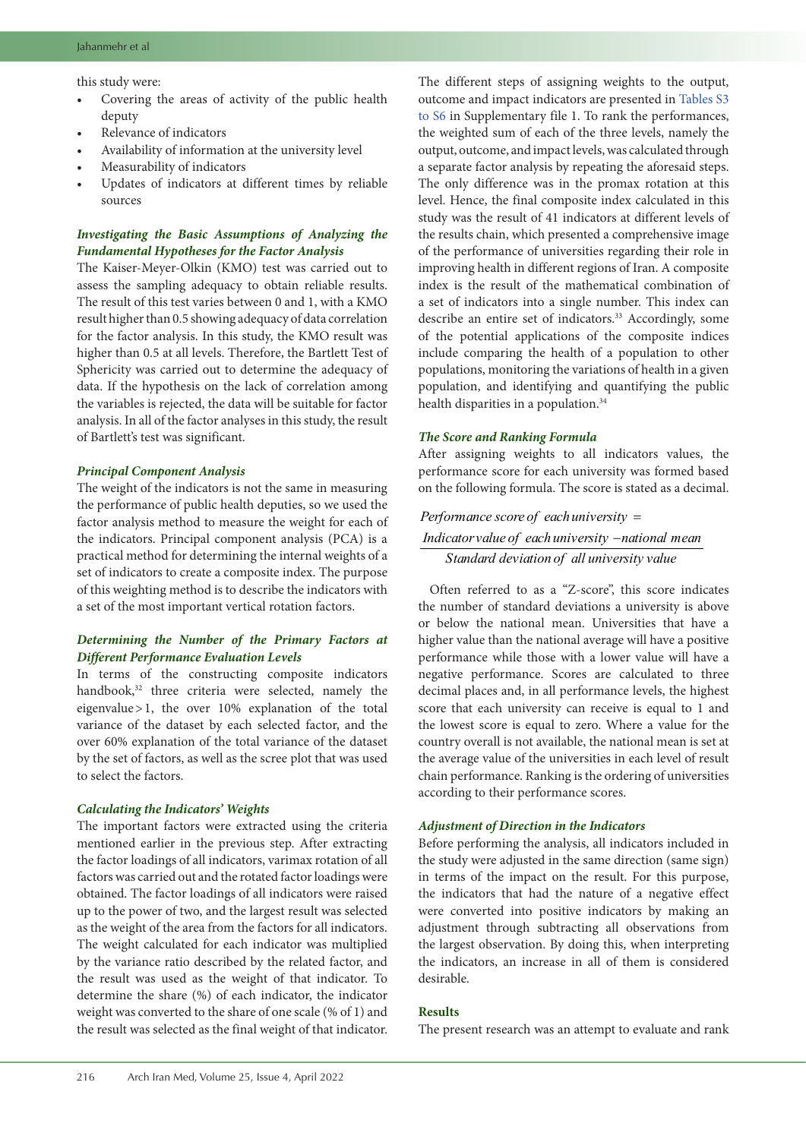this study were:

- Covering the areas of activity of the public health deputy
- Relevance of indicators
- Availability of information at the university level
- Measurability of indicators
- Updates of indicators at different times by reliable sources

# *Investigating the Basic Assumptions of Analyzing the Fundamental Hypotheses for the Factor Analysis*

The Kaiser-Meyer-Olkin (KMO) test was carried out to assess the sampling adequacy to obtain reliable results. The result of this test varies between 0 and 1, with a KMO result higher than 0.5 showing adequacy of data correlation for the factor analysis. In this study, the KMO result was higher than 0.5 at all levels. Therefore, the Bartlett Test of Sphericity was carried out to determine the adequacy of data. If the hypothesis on the lack of correlation among the variables is rejected, the data will be suitable for factor analysis. In all of the factor analyses in this study, the result of Bartlett's test was significant.

# *Principal Component Analysis*

The weight of the indicators is not the same in measuring the performance of public health deputies, so we used the factor analysis method to measure the weight for each of the indicators. Principal component analysis (PCA) is a practical method for determining the internal weights of a set of indicators to create a composite index. The purpose of this weighting method is to describe the indicators with a set of the most important vertical rotation factors.

### *Determining the Number of the Primary Factors at Different Performance Evaluation Levels*

In terms of the constructing composite indicators handbook,<sup>32</sup> three criteria were selected, namely the eigenvalue>1, the over 10% explanation of the total variance of the dataset by each selected factor, and the over 60% explanation of the total variance of the dataset by the set of factors, as well as the scree plot that was used to select the factors.

### *Calculating the Indicators' Weights*

The important factors were extracted using the criteria mentioned earlier in the previous step. After extracting the factor loadings of all indicators, varimax rotation of all factors was carried out and the rotated factor loadings were obtained. The factor loadings of all indicators were raised up to the power of two, and the largest result was selected as the weight of the area from the factors for all indicators. The weight calculated for each indicator was multiplied by the variance ratio described by the related factor, and the result was used as the weight of that indicator. To determine the share (%) of each indicator, the indicator weight was converted to the share of one scale (% of 1) and the result was selected as the final weight of that indicator. The different steps of assigning weights to the output, outcome and impact indicators are presented in [Tables](#page-8-0) S3 to [S6](#page-8-0) in Supplementary file 1. To rank the performances, the weighted sum of each of the three levels, namely the output, outcome, and impact levels, was calculated through a separate factor analysis by repeating the aforesaid steps. The only difference was in the promax rotation at this level. Hence, the final composite index calculated in this study was the result of 41 indicators at different levels of the results chain, which presented a comprehensive image of the performance of universities regarding their role in improving health in different regions of Iran. A composite index is the result of the mathematical combination of a set of indicators into a single number. This index can describe an entire set of indicators.33 Accordingly, some of the potential applications of the composite indices include comparing the health of a population to other populations, monitoring the variations of health in a given population, and identifying and quantifying the public health disparities in a population.<sup>34</sup>

# *The Score and Ranking Formula*

After assigning weights to all indicators values, the performance score for each university was formed based on the following formula. The score is stated as a decimal.

# *Performance score of each university* = *Indicatorvalue of each university* -national mean *Standard deviation of all university value*

Often referred to as a "Z-score", this score indicates the number of standard deviations a university is above or below the national mean. Universities that have a higher value than the national average will have a positive performance while those with a lower value will have a negative performance. Scores are calculated to three decimal places and, in all performance levels, the highest score that each university can receive is equal to 1 and the lowest score is equal to zero. Where a value for the country overall is not available, the national mean is set at the average value of the universities in each level of result chain performance. Ranking is the ordering of universities according to their performance scores.

### *Adjustment of Direction in the Indicators*

Before performing the analysis, all indicators included in the study were adjusted in the same direction (same sign) in terms of the impact on the result. For this purpose, the indicators that had the nature of a negative effect were converted into positive indicators by making an adjustment through subtracting all observations from the largest observation. By doing this, when interpreting the indicators, an increase in all of them is considered desirable.

### **Results**

The present research was an attempt to evaluate and rank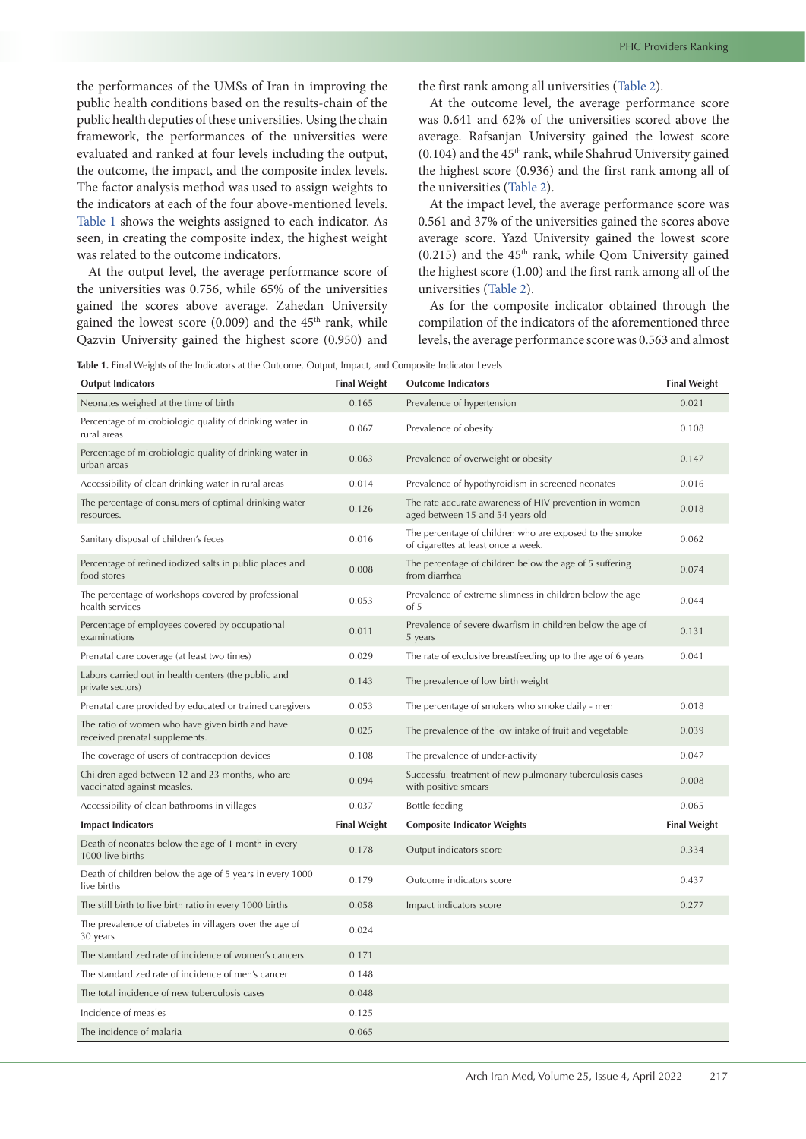the performances of the UMSs of Iran in improving the public health conditions based on the results-chain of the public health deputies of these universities. Using the chain framework, the performances of the universities were evaluated and ranked at four levels including the output, the outcome, the impact, and the composite index levels. The factor analysis method was used to assign weights to the indicators at each of the four above-mentioned levels. [Table](#page-3-0) 1 shows the weights assigned to each indicator. As seen, in creating the composite index, the highest weight was related to the outcome indicators.

At the output level, the average performance score of the universities was 0.756, while 65% of the universities gained the scores above average. Zahedan University gained the lowest score  $(0.009)$  and the 45<sup>th</sup> rank, while Qazvin University gained the highest score (0.950) and the first rank among all universities [\(Table 2\)](#page-5-0).

At the outcome level, the average performance score was 0.641 and 62% of the universities scored above the average. Rafsanjan University gained the lowest score  $(0.104)$  and the  $45<sup>th</sup>$  rank, while Shahrud University gained the highest score (0.936) and the first rank among all of the universities [\(Table 2\)](#page-5-0).

At the impact level, the average performance score was 0.561 and 37% of the universities gained the scores above average score. Yazd University gained the lowest score  $(0.215)$  and the  $45<sup>th</sup>$  rank, while Qom University gained the highest score (1.00) and the first rank among all of the universities [\(Table 2\)](#page-5-0).

As for the composite indicator obtained through the compilation of the indicators of the aforementioned three levels, the average performance score was 0.563 and almost

<span id="page-3-0"></span>**Table 1.** Final Weights of the Indicators at the Outcome, Output, Impact, and Composite Indicator Levels

| <b>Output Indicators</b>                                                           | <b>Final Weight</b> | <b>Outcome Indicators</b>                                                                      | <b>Final Weight</b> |
|------------------------------------------------------------------------------------|---------------------|------------------------------------------------------------------------------------------------|---------------------|
| Neonates weighed at the time of birth                                              | 0.165               | Prevalence of hypertension                                                                     | 0.021               |
| Percentage of microbiologic quality of drinking water in<br>rural areas            | 0.067               | Prevalence of obesity                                                                          | 0.108               |
| Percentage of microbiologic quality of drinking water in<br>urban areas            | 0.063               | Prevalence of overweight or obesity                                                            | 0.147               |
| Accessibility of clean drinking water in rural areas                               | 0.014               | Prevalence of hypothyroidism in screened neonates                                              | 0.016               |
| The percentage of consumers of optimal drinking water<br>resources.                | 0.126               | The rate accurate awareness of HIV prevention in women<br>aged between 15 and 54 years old     | 0.018               |
| Sanitary disposal of children's feces                                              | 0.016               | The percentage of children who are exposed to the smoke<br>of cigarettes at least once a week. | 0.062               |
| Percentage of refined iodized salts in public places and<br>food stores            | 0.008               | The percentage of children below the age of 5 suffering<br>from diarrhea                       | 0.074               |
| The percentage of workshops covered by professional<br>health services             | 0.053               | Prevalence of extreme slimness in children below the age<br>of 5                               | 0.044               |
| Percentage of employees covered by occupational<br>examinations                    | 0.011               | Prevalence of severe dwarfism in children below the age of<br>5 years                          | 0.131               |
| Prenatal care coverage (at least two times)                                        | 0.029               | The rate of exclusive breastfeeding up to the age of 6 years                                   | 0.041               |
| Labors carried out in health centers (the public and<br>private sectors)           | 0.143               | The prevalence of low birth weight                                                             |                     |
| Prenatal care provided by educated or trained caregivers                           | 0.053               | The percentage of smokers who smoke daily - men                                                | 0.018               |
| The ratio of women who have given birth and have<br>received prenatal supplements. | 0.025               | The prevalence of the low intake of fruit and vegetable                                        | 0.039               |
| The coverage of users of contraception devices                                     | 0.108               | The prevalence of under-activity                                                               | 0.047               |
| Children aged between 12 and 23 months, who are<br>vaccinated against measles.     | 0.094               | Successful treatment of new pulmonary tuberculosis cases<br>with positive smears               | 0.008               |
| Accessibility of clean bathrooms in villages                                       | 0.037               | Bottle feeding                                                                                 | 0.065               |
| <b>Impact Indicators</b>                                                           | <b>Final Weight</b> | <b>Composite Indicator Weights</b>                                                             | <b>Final Weight</b> |
| Death of neonates below the age of 1 month in every<br>1000 live births            | 0.178               | Output indicators score                                                                        | 0.334               |
| Death of children below the age of 5 years in every 1000<br>live births            | 0.179               | Outcome indicators score                                                                       | 0.437               |
| The still birth to live birth ratio in every 1000 births                           | 0.058               | Impact indicators score                                                                        | 0.277               |
| The prevalence of diabetes in villagers over the age of<br>30 years                | 0.024               |                                                                                                |                     |
| The standardized rate of incidence of women's cancers                              | 0.171               |                                                                                                |                     |
| The standardized rate of incidence of men's cancer                                 | 0.148               |                                                                                                |                     |
| The total incidence of new tuberculosis cases                                      | 0.048               |                                                                                                |                     |
| Incidence of measles                                                               | 0.125               |                                                                                                |                     |
| The incidence of malaria                                                           | 0.065               |                                                                                                |                     |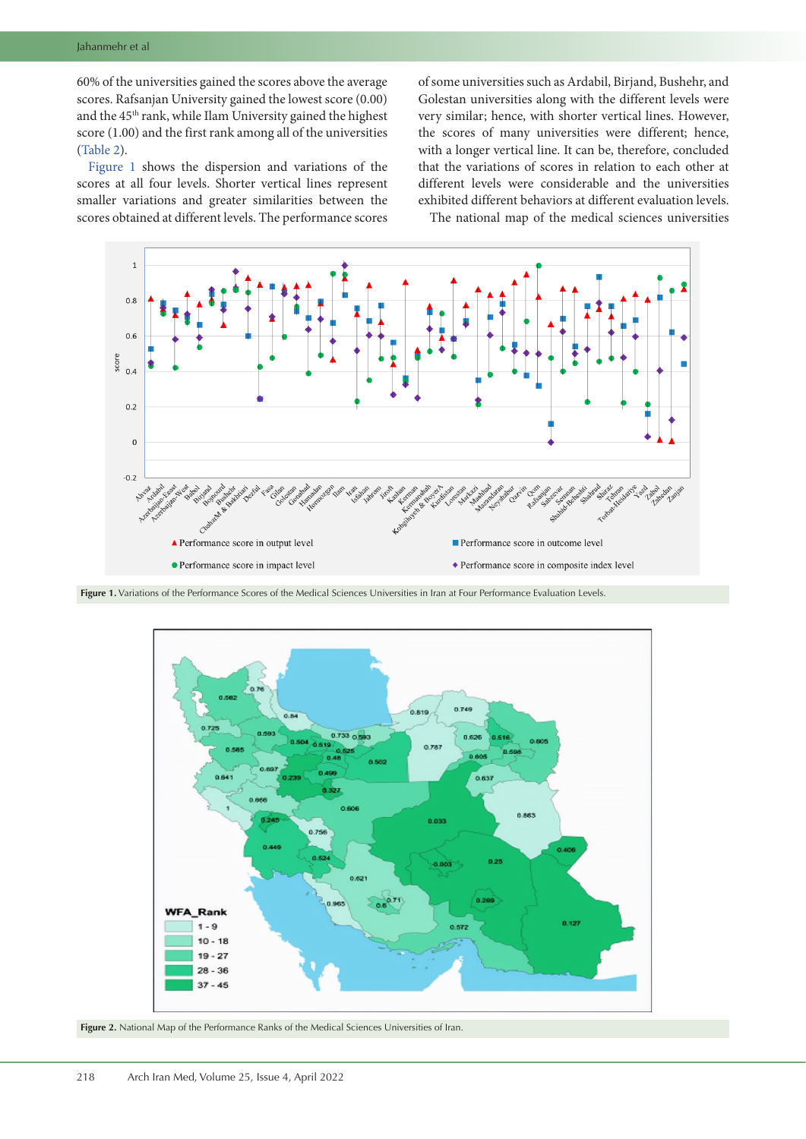60% of the universities gained the scores above the average scores. Rafsanjan University gained the lowest score (0.00) and the 45th rank, while Ilam University gained the highest score (1.00) and the first rank among all of the universities [\(Table 2\)](#page-5-0).

[Figure](#page-4-0) 1 shows the dispersion and variations of the scores at all four levels. Shorter vertical lines represent smaller variations and greater similarities between the scores obtained at different levels. The performance scores

of some universities such as Ardabil, Birjand, Bushehr, and Golestan universities along with the different levels were very similar; hence, with shorter vertical lines. However, the scores of many universities were different; hence, with a longer vertical line. It can be, therefore, concluded that the variations of scores in relation to each other at different levels were considerable and the universities exhibited different behaviors at different evaluation levels.

<span id="page-4-0"></span>The national map of the medical sciences universities



Figure 1. Variations of the Performance Scores of the Medical Sciences Universities in Iran at Four Performance Evaluation Levels.

<span id="page-4-1"></span>

**Figure 2.** National Map of the Performance Ranks of the Medical Sciences Universities of Iran.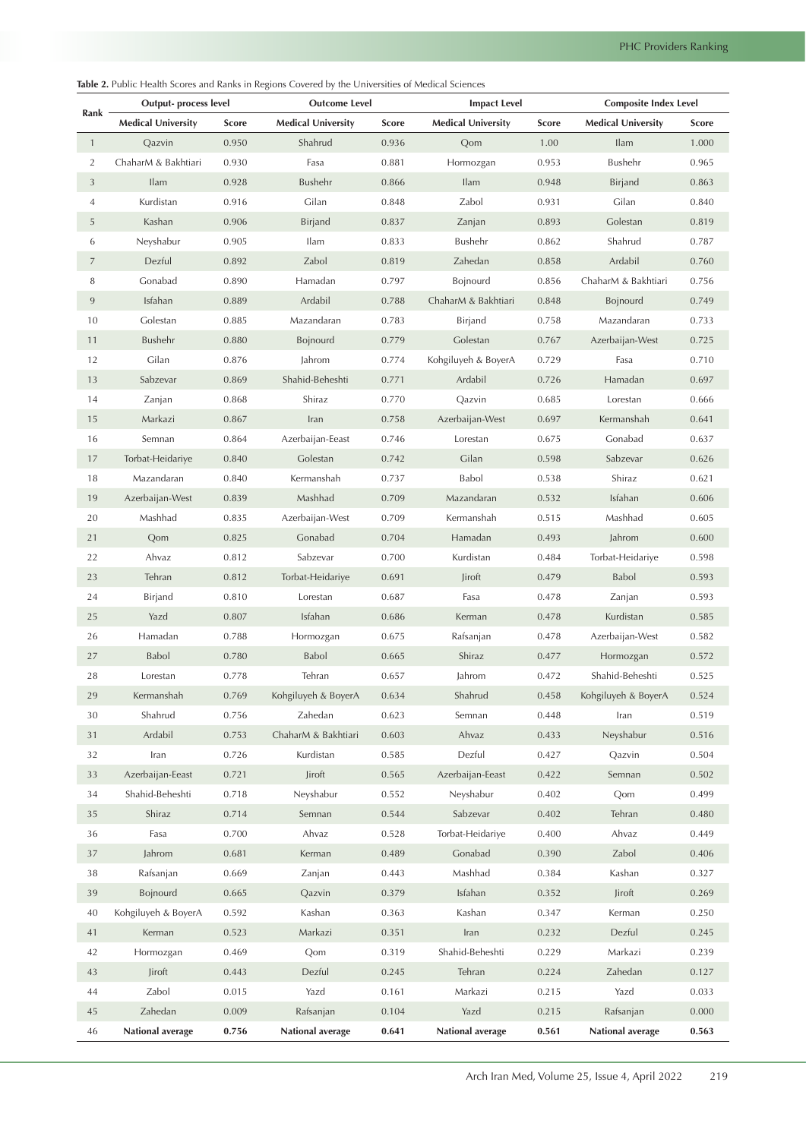<span id="page-5-0"></span>**Table 2.** Public Health Scores and Ranks in Regions Covered by the Universities of Medical Sciences

| Rank           | <b>Output-</b> process level |              | <b>Outcome Level</b>      |              | <b>Impact Level</b>       |              | <b>Composite Index Level</b> |              |
|----------------|------------------------------|--------------|---------------------------|--------------|---------------------------|--------------|------------------------------|--------------|
|                | <b>Medical University</b>    | <b>Score</b> | <b>Medical University</b> | <b>Score</b> | <b>Medical University</b> | <b>Score</b> | <b>Medical University</b>    | <b>Score</b> |
| $\mathbf{1}$   | Qazvin                       | 0.950        | Shahrud                   | 0.936        | Qom                       | 1.00         | <b>Ilam</b>                  | 1.000        |
| $\overline{2}$ | ChaharM & Bakhtiari          | 0.930        | Fasa                      | 0.881        | Hormozgan                 | 0.953        | Bushehr                      | 0.965        |
| 3              | <b>Ilam</b>                  | 0.928        | Bushehr                   | 0.866        | Ilam                      | 0.948        | <b>Birjand</b>               | 0.863        |
| 4              | Kurdistan                    | 0.916        | Gilan                     | 0.848        | Zabol                     | 0.931        | Gilan                        | 0.840        |
| 5              | Kashan                       | 0.906        | <b>Birjand</b>            | 0.837        | Zanjan                    | 0.893        | Golestan                     | 0.819        |
| 6              | Neyshabur                    | 0.905        | Ilam                      | 0.833        | Bushehr                   | 0.862        | Shahrud                      | 0.787        |
| $\overline{7}$ | Dezful                       | 0.892        | Zabol                     | 0.819        | Zahedan                   | 0.858        | Ardabil                      | 0.760        |
| 8              | Gonabad                      | 0.890        | Hamadan                   | 0.797        | Bojnourd                  | 0.856        | ChaharM & Bakhtiari          | 0.756        |
| $\,9$          | Isfahan                      | 0.889        | Ardabil                   | 0.788        | ChaharM & Bakhtiari       | 0.848        | Bojnourd                     | 0.749        |
| 10             | Golestan                     | 0.885        | Mazandaran                | 0.783        | Birjand                   | 0.758        | Mazandaran                   | 0.733        |
| 11             | Bushehr                      | 0.880        | Bojnourd                  | 0.779        | Golestan                  | 0.767        | Azerbaijan-West              | 0.725        |
| 12             | Gilan                        | 0.876        | Jahrom                    | 0.774        | Kohgiluyeh & BoyerA       | 0.729        | Fasa                         | 0.710        |
| 13             | Sabzevar                     | 0.869        | Shahid-Beheshti           | 0.771        | Ardabil                   | 0.726        | Hamadan                      | 0.697        |
| 14             | Zanjan                       | 0.868        | Shiraz                    | 0.770        | Oazvin                    | 0.685        | Lorestan                     | 0.666        |
| 15             | Markazi                      | 0.867        | Iran                      | 0.758        | Azerbaijan-West           | 0.697        | Kermanshah                   | 0.641        |
| 16             | Semnan                       | 0.864        | Azerbaijan-Eeast          | 0.746        | Lorestan                  | 0.675        | Gonabad                      | 0.637        |
| 17             | Torbat-Heidariye             | 0.840        | Golestan                  | 0.742        | Gilan                     | 0.598        | Sabzevar                     | 0.626        |
| 18             | Mazandaran                   | 0.840        | Kermanshah                | 0.737        | Babol                     | 0.538        | Shiraz                       | 0.621        |
| 19             | Azerbaijan-West              | 0.839        | Mashhad                   | 0.709        | Mazandaran                | 0.532        | Isfahan                      | 0.606        |
| 20             | Mashhad                      | 0.835        | Azerbaijan-West           | 0.709        | Kermanshah                | 0.515        | Mashhad                      | 0.605        |
| 21             | Qom                          | 0.825        | Gonabad                   | 0.704        | Hamadan                   | 0.493        | Jahrom                       | 0.600        |
| 22             | Ahvaz                        | 0.812        | Sabzevar                  | 0.700        | Kurdistan                 | 0.484        | Torbat-Heidariye             | 0.598        |
| 23             | Tehran                       | 0.812        | Torbat-Heidariye          | 0.691        | Jiroft                    | 0.479        | <b>Babol</b>                 | 0.593        |
| 24             | Birjand                      | 0.810        | Lorestan                  | 0.687        | Fasa                      | 0.478        | Zanjan                       | 0.593        |
| 25             | Yazd                         | 0.807        | Isfahan                   | 0.686        | Kerman                    | 0.478        | Kurdistan                    | 0.585        |
| 26             | Hamadan                      | 0.788        | Hormozgan                 | 0.675        | Rafsanjan                 | 0.478        | Azerbaijan-West              | 0.582        |
| 27             | Babol                        | 0.780        | <b>Babol</b>              | 0.665        | Shiraz                    | 0.477        | Hormozgan                    | 0.572        |
| 28             | Lorestan                     | 0.778        | Tehran                    | 0.657        | Jahrom                    | 0.472        | Shahid-Beheshti              | 0.525        |
| 29             | Kermanshah                   | 0.769        | Kohgiluyeh & BoyerA       | 0.634        | Shahrud                   | 0.458        | Kohgiluyeh & BoyerA          | 0.524        |
| 30             | Shahrud                      | 0.756        | Zahedan                   | 0.623        | Semnan                    | 0.448        | Iran                         | 0.519        |
| 31             | Ardabil                      | 0.753        | ChaharM & Bakhtiari       | 0.603        | Ahvaz                     | 0.433        | Neyshabur                    | 0.516        |
| 32             | Iran                         | 0.726        | Kurdistan                 | 0.585        | Dezful                    | 0.427        | Oazvin                       | 0.504        |
| 33             | Azerbaijan-Eeast             | 0.721        | Jiroft                    | 0.565        | Azerbaijan-Eeast          | 0.422        | Semnan                       | 0.502        |
| 34             | Shahid-Beheshti              | 0.718        | Neyshabur                 | 0.552        | Neyshabur                 | 0.402        | Qom                          | 0.499        |
| 35             | Shiraz                       | 0.714        | Semnan                    | 0.544        | Sabzevar                  | 0.402        | Tehran                       | 0.480        |
| 36             | Fasa                         | 0.700        | Ahvaz                     | 0.528        | Torbat-Heidariye          | 0.400        | Ahvaz                        | 0.449        |
| 37             | Jahrom                       | 0.681        | Kerman                    | 0.489        | Gonabad                   | 0.390        | Zabol                        | 0.406        |
| 38             | Rafsanjan                    | 0.669        | Zanjan                    | 0.443        | Mashhad                   | 0.384        | Kashan                       | 0.327        |
| 39             | Bojnourd                     | 0.665        | Qazvin                    | 0.379        | Isfahan                   | 0.352        | Jiroft                       | 0.269        |
| 40             | Kohgiluyeh & BoyerA          | 0.592        | Kashan                    | 0.363        | Kashan                    | 0.347        | Kerman                       | 0.250        |
| 41             | Kerman                       | 0.523        | Markazi                   | 0.351        | Iran                      | 0.232        | Dezful                       | 0.245        |
| 42             | Hormozgan                    | 0.469        | Qom                       | 0.319        | Shahid-Beheshti           | 0.229        | Markazi                      | 0.239        |
| 43             | Jiroft                       | 0.443        | Dezful                    | 0.245        | Tehran                    | 0.224        | Zahedan                      | 0.127        |
| 44             | Zabol                        | 0.015        | Yazd                      | 0.161        | Markazi                   | 0.215        | Yazd                         | 0.033        |
| 45             | Zahedan                      | 0.009        | Rafsanjan                 | 0.104        | Yazd                      | 0.215        | Rafsanjan                    | 0.000        |
| 46             | National average             | 0.756        | National average          | 0.641        | National average          | 0.561        | National average             | 0.563        |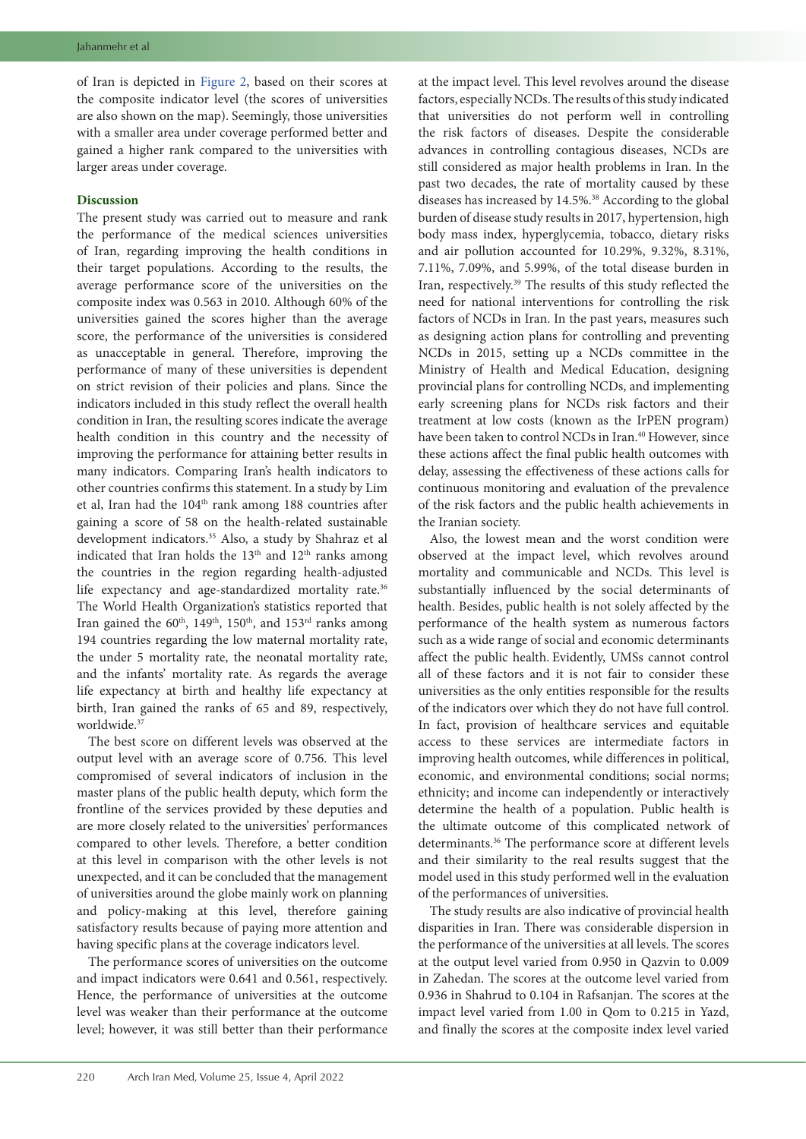of Iran is depicted in [Figure](#page-4-1) 2, based on their scores at the composite indicator level (the scores of universities are also shown on the map). Seemingly, those universities with a smaller area under coverage performed better and gained a higher rank compared to the universities with larger areas under coverage.

### **Discussion**

The present study was carried out to measure and rank the performance of the medical sciences universities of Iran, regarding improving the health conditions in their target populations. According to the results, the average performance score of the universities on the composite index was 0.563 in 2010. Although 60% of the universities gained the scores higher than the average score, the performance of the universities is considered as unacceptable in general. Therefore, improving the performance of many of these universities is dependent on strict revision of their policies and plans. Since the indicators included in this study reflect the overall health condition in Iran, the resulting scores indicate the average health condition in this country and the necessity of improving the performance for attaining better results in many indicators. Comparing Iran's health indicators to other countries confirms this statement. In a study by Lim et al, Iran had the 104<sup>th</sup> rank among 188 countries after gaining a score of 58 on the health-related sustainable development indicators.<sup>35</sup> Also, a study by Shahraz et al indicated that Iran holds the  $13<sup>th</sup>$  and  $12<sup>th</sup>$  ranks among the countries in the region regarding health-adjusted life expectancy and age-standardized mortality rate.<sup>36</sup> The World Health Organization's statistics reported that Iran gained the 60<sup>th</sup>, 149<sup>th</sup>, 150<sup>th</sup>, and 153<sup>rd</sup> ranks among 194 countries regarding the low maternal mortality rate, the under 5 mortality rate, the neonatal mortality rate, and the infants' mortality rate. As regards the average life expectancy at birth and healthy life expectancy at birth, Iran gained the ranks of 65 and 89, respectively, worldwide.<sup>37</sup>

The best score on different levels was observed at the output level with an average score of 0.756. This level compromised of several indicators of inclusion in the master plans of the public health deputy, which form the frontline of the services provided by these deputies and are more closely related to the universities' performances compared to other levels. Therefore, a better condition at this level in comparison with the other levels is not unexpected, and it can be concluded that the management of universities around the globe mainly work on planning and policy-making at this level, therefore gaining satisfactory results because of paying more attention and having specific plans at the coverage indicators level.

The performance scores of universities on the outcome and impact indicators were 0.641 and 0.561, respectively. Hence, the performance of universities at the outcome level was weaker than their performance at the outcome level; however, it was still better than their performance

at the impact level. This level revolves around the disease factors, especially NCDs. The results of this study indicated that universities do not perform well in controlling the risk factors of diseases. Despite the considerable advances in controlling contagious diseases, NCDs are still considered as major health problems in Iran. In the past two decades, the rate of mortality caused by these diseases has increased by 14.5%.<sup>38</sup> According to the global burden of disease study results in 2017, hypertension, high body mass index, hyperglycemia, tobacco, dietary risks and air pollution accounted for 10.29%, 9.32%, 8.31%, 7.11%, 7.09%, and 5.99%, of the total disease burden in Iran, respectively.39 The results of this study reflected the need for national interventions for controlling the risk factors of NCDs in Iran. In the past years, measures such as designing action plans for controlling and preventing NCDs in 2015, setting up a NCDs committee in the Ministry of Health and Medical Education, designing provincial plans for controlling NCDs, and implementing early screening plans for NCDs risk factors and their treatment at low costs (known as the IrPEN program) have been taken to control NCDs in Iran.<sup>40</sup> However, since these actions affect the final public health outcomes with delay, assessing the effectiveness of these actions calls for continuous monitoring and evaluation of the prevalence of the risk factors and the public health achievements in the Iranian society.

Also, the lowest mean and the worst condition were observed at the impact level, which revolves around mortality and communicable and NCDs. This level is substantially influenced by the social determinants of health. Besides, public health is not solely affected by the performance of the health system as numerous factors such as a wide range of social and economic determinants affect the public health. Evidently, UMSs cannot control all of these factors and it is not fair to consider these universities as the only entities responsible for the results of the indicators over which they do not have full control. In fact, provision of healthcare services and equitable access to these services are intermediate factors in improving health outcomes, while differences in political, economic, and environmental conditions; social norms; ethnicity; and income can independently or interactively determine the health of a population. Public health is the ultimate outcome of this complicated network of determinants.36 The performance score at different levels and their similarity to the real results suggest that the model used in this study performed well in the evaluation of the performances of universities.

The study results are also indicative of provincial health disparities in Iran. There was considerable dispersion in the performance of the universities at all levels. The scores at the output level varied from 0.950 in Qazvin to 0.009 in Zahedan. The scores at the outcome level varied from 0.936 in Shahrud to 0.104 in Rafsanjan. The scores at the impact level varied from 1.00 in Qom to 0.215 in Yazd, and finally the scores at the composite index level varied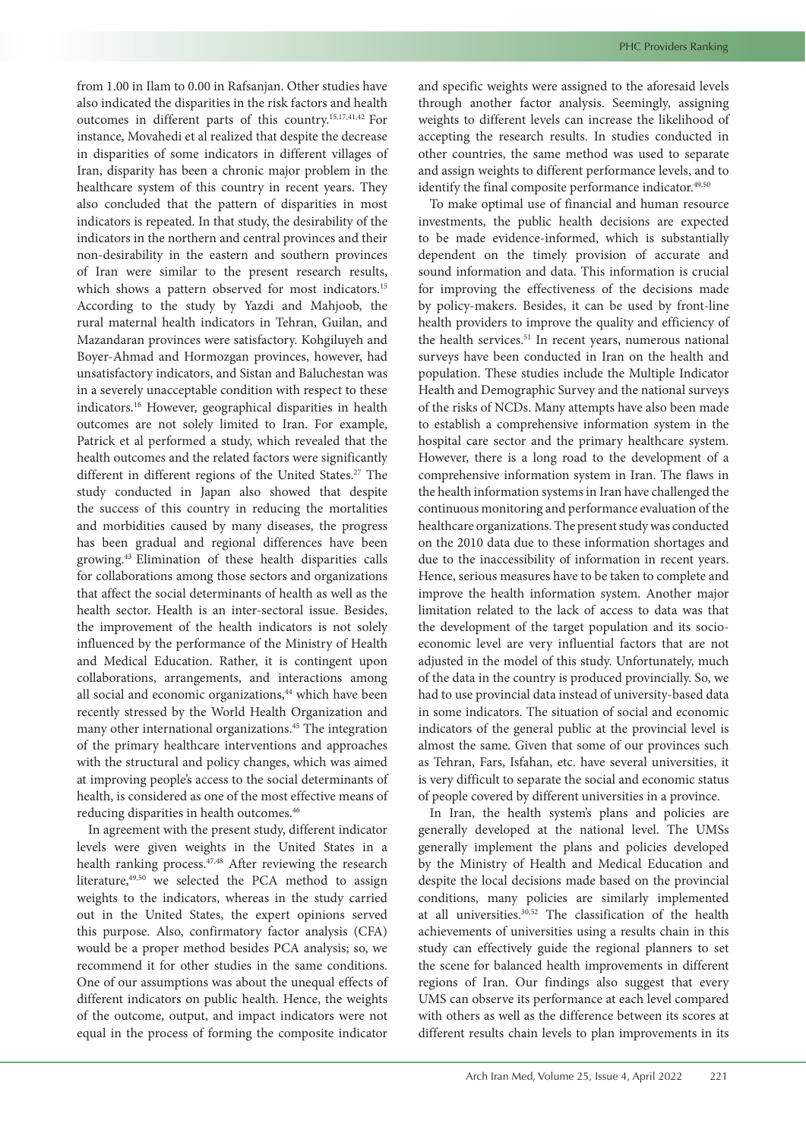from 1.00 in Ilam to 0.00 in Rafsanjan. Other studies have also indicated the disparities in the risk factors and health outcomes in different parts of this country.15,17,41,42 For instance, Movahedi et al realized that despite the decrease in disparities of some indicators in different villages of Iran, disparity has been a chronic major problem in the healthcare system of this country in recent years. They also concluded that the pattern of disparities in most indicators is repeated. In that study, the desirability of the indicators in the northern and central provinces and their non-desirability in the eastern and southern provinces of Iran were similar to the present research results, which shows a pattern observed for most indicators.<sup>15</sup> According to the study by Yazdi and Mahjoob, the rural maternal health indicators in Tehran, Guilan, and Mazandaran provinces were satisfactory. Kohgiluyeh and Boyer-Ahmad and Hormozgan provinces, however, had unsatisfactory indicators, and Sistan and Baluchestan was in a severely unacceptable condition with respect to these indicators.16 However, geographical disparities in health outcomes are not solely limited to Iran. For example, Patrick et al performed a study, which revealed that the health outcomes and the related factors were significantly different in different regions of the United States.<sup>27</sup> The study conducted in Japan also showed that despite the success of this country in reducing the mortalities and morbidities caused by many diseases, the progress has been gradual and regional differences have been growing.43 Elimination of these health disparities calls for collaborations among those sectors and organizations that affect the social determinants of health as well as the health sector. Health is an inter-sectoral issue. Besides, the improvement of the health indicators is not solely influenced by the performance of the Ministry of Health and Medical Education. Rather, it is contingent upon collaborations, arrangements, and interactions among all social and economic organizations,<sup>44</sup> which have been recently stressed by the World Health Organization and many other international organizations.45 The integration of the primary healthcare interventions and approaches with the structural and policy changes, which was aimed at improving people's access to the social determinants of health, is considered as one of the most effective means of reducing disparities in health outcomes.<sup>46</sup>

In agreement with the present study, different indicator levels were given weights in the United States in a health ranking process.<sup>47,48</sup> After reviewing the research literature,<sup>49,50</sup> we selected the PCA method to assign weights to the indicators, whereas in the study carried out in the United States, the expert opinions served this purpose. Also, confirmatory factor analysis (CFA) would be a proper method besides PCA analysis; so, we recommend it for other studies in the same conditions. One of our assumptions was about the unequal effects of different indicators on public health. Hence, the weights of the outcome, output, and impact indicators were not equal in the process of forming the composite indicator

and specific weights were assigned to the aforesaid levels through another factor analysis. Seemingly, assigning weights to different levels can increase the likelihood of accepting the research results. In studies conducted in other countries, the same method was used to separate and assign weights to different performance levels, and to identify the final composite performance indicator.<sup>49,50</sup>

To make optimal use of financial and human resource investments, the public health decisions are expected to be made evidence-informed, which is substantially dependent on the timely provision of accurate and sound information and data. This information is crucial for improving the effectiveness of the decisions made by policy-makers. Besides, it can be used by front-line health providers to improve the quality and efficiency of the health services.<sup>51</sup> In recent years, numerous national surveys have been conducted in Iran on the health and population. These studies include the Multiple Indicator Health and Demographic Survey and the national surveys of the risks of NCDs. Many attempts have also been made to establish a comprehensive information system in the hospital care sector and the primary healthcare system. However, there is a long road to the development of a comprehensive information system in Iran. The flaws in the health information systems in Iran have challenged the continuous monitoring and performance evaluation of the healthcare organizations. The present study was conducted on the 2010 data due to these information shortages and due to the inaccessibility of information in recent years. Hence, serious measures have to be taken to complete and improve the health information system. Another major limitation related to the lack of access to data was that the development of the target population and its socioeconomic level are very influential factors that are not adjusted in the model of this study. Unfortunately, much of the data in the country is produced provincially. So, we had to use provincial data instead of university-based data in some indicators. The situation of social and economic indicators of the general public at the provincial level is almost the same. Given that some of our provinces such as Tehran, Fars, Isfahan, etc. have several universities, it is very difficult to separate the social and economic status of people covered by different universities in a province.

In Iran, the health system's plans and policies are generally developed at the national level. The UMSs generally implement the plans and policies developed by the Ministry of Health and Medical Education and despite the local decisions made based on the provincial conditions, many policies are similarly implemented at all universities.30,52 The classification of the health achievements of universities using a results chain in this study can effectively guide the regional planners to set the scene for balanced health improvements in different regions of Iran. Our findings also suggest that every UMS can observe its performance at each level compared with others as well as the difference between its scores at different results chain levels to plan improvements in its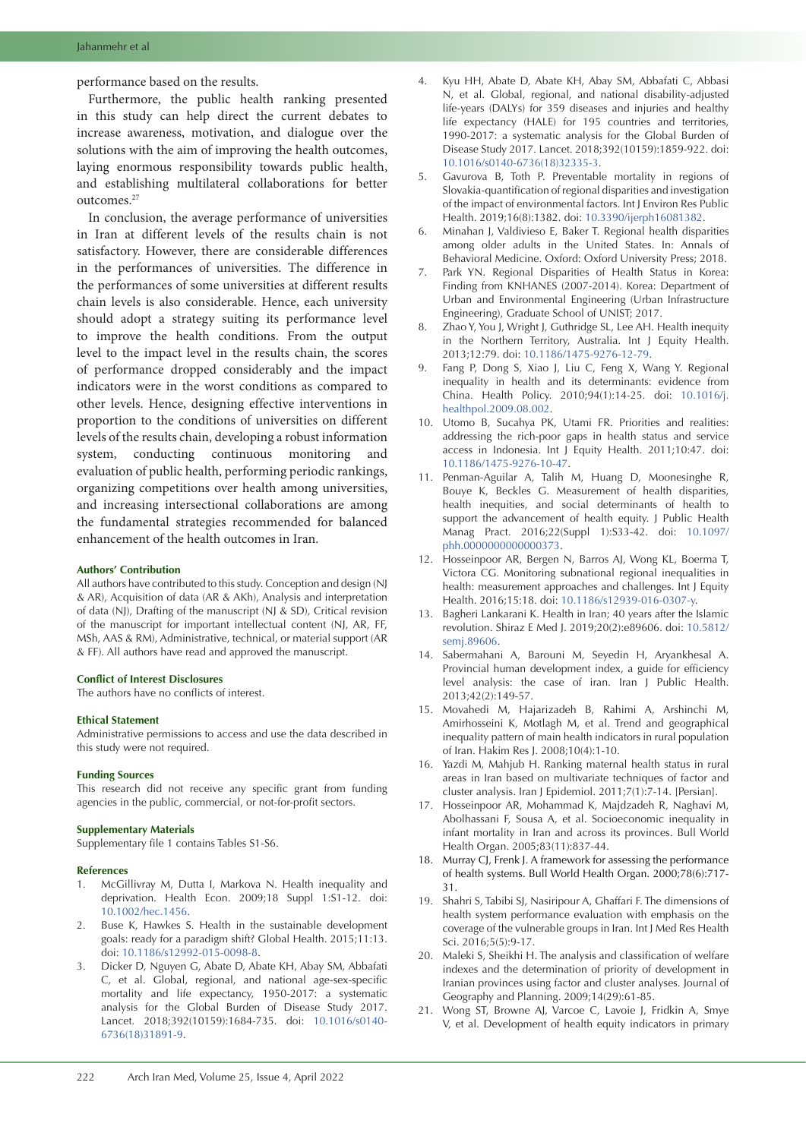performance based on the results.

Furthermore, the public health ranking presented in this study can help direct the current debates to increase awareness, motivation, and dialogue over the solutions with the aim of improving the health outcomes, laying enormous responsibility towards public health, and establishing multilateral collaborations for better outcomes.<sup>27</sup>

In conclusion, the average performance of universities in Iran at different levels of the results chain is not satisfactory. However, there are considerable differences in the performances of universities. The difference in the performances of some universities at different results chain levels is also considerable. Hence, each university should adopt a strategy suiting its performance level to improve the health conditions. From the output level to the impact level in the results chain, the scores of performance dropped considerably and the impact indicators were in the worst conditions as compared to other levels. Hence, designing effective interventions in proportion to the conditions of universities on different levels of the results chain, developing a robust information system, conducting continuous monitoring and evaluation of public health, performing periodic rankings, organizing competitions over health among universities, and increasing intersectional collaborations are among the fundamental strategies recommended for balanced enhancement of the health outcomes in Iran.

### **Authors' Contribution**

All authors have contributed to this study. Conception and design (NJ & AR), Acquisition of data (AR & AKh), Analysis and interpretation of data (NJ), Drafting of the manuscript (NJ & SD), Critical revision of the manuscript for important intellectual content (NJ, AR, FF, MSh, AAS & RM), Administrative, technical, or material support (AR & FF). All authors have read and approved the manuscript.

### **Conflict of Interest Disclosures**

The authors have no conflicts of interest.

### **Ethical Statement**

Administrative permissions to access and use the data described in this study were not required.

### **Funding Sources**

This research did not receive any specific grant from funding agencies in the public, commercial, or not-for-profit sectors.

#### **Supplementary Materials**

<span id="page-8-0"></span>Supplementary file 1 contains Tables S1-S6.

### **References**

- 1. McGillivray M, Dutta I, Markova N. Health inequality and deprivation. Health Econ. 2009;18 Suppl 1:S1-12. doi: [10.1002/hec.1456](https://doi.org/10.1002/hec.1456).
- 2. Buse K, Hawkes S. Health in the sustainable development goals: ready for a paradigm shift? Global Health. 2015;11:13. doi: [10.1186/s12992-015-0098-8](https://doi.org/10.1186/s12992-015-0098-8).
- 3. Dicker D, Nguyen G, Abate D, Abate KH, Abay SM, Abbafati C, et al. Global, regional, and national age-sex-specific mortality and life expectancy, 1950-2017: a systematic analysis for the Global Burden of Disease Study 2017. Lancet. 2018;392(10159):1684-735. doi: [10.1016/s0140-](https://doi.org/10.1016/s0140-6736(18)31891-9) [6736\(18\)31891-9](https://doi.org/10.1016/s0140-6736(18)31891-9).
- 4. Kyu HH, Abate D, Abate KH, Abay SM, Abbafati C, Abbasi N, et al. Global, regional, and national disability-adjusted life-years (DALYs) for 359 diseases and injuries and healthy life expectancy (HALE) for 195 countries and territories, 1990-2017: a systematic analysis for the Global Burden of Disease Study 2017. Lancet. 2018;392(10159):1859-922. doi: [10.1016/s0140-6736\(18\)32335-3](https://doi.org/10.1016/s0140-6736(18)32335-3).
- 5. Gavurova B, Toth P. Preventable mortality in regions of Slovakia-quantification of regional disparities and investigation of the impact of environmental factors. Int J Environ Res Public Health. 2019;16(8):1382. doi: [10.3390/ijerph16081382](https://doi.org/10.3390/ijerph16081382).
- 6. Minahan J, Valdivieso E, Baker T. Regional health disparities among older adults in the United States. In: Annals of Behavioral Medicine. Oxford: Oxford University Press; 2018.
- 7. Park YN. Regional Disparities of Health Status in Korea: Finding from KNHANES (2007-2014). Korea: Department of Urban and Environmental Engineering (Urban Infrastructure Engineering), Graduate School of UNIST; 2017.
- 8. Zhao Y, You J, Wright J, Guthridge SL, Lee AH. Health inequity in the Northern Territory, Australia. Int J Equity Health. 2013;12:79. doi: [10.1186/1475-9276-12-79.](https://doi.org/10.1186/1475-9276-12-79)
- 9. Fang P, Dong S, Xiao J, Liu C, Feng X, Wang Y. Regional inequality in health and its determinants: evidence from China. Health Policy. 2010;94(1):14-25. doi: [10.1016/j.](https://doi.org/10.1016/j.healthpol.2009.08.002) [healthpol.2009.08.002](https://doi.org/10.1016/j.healthpol.2009.08.002).
- 10. Utomo B, Sucahya PK, Utami FR. Priorities and realities: addressing the rich-poor gaps in health status and service access in Indonesia. Int J Equity Health. 2011;10:47. doi: [10.1186/1475-9276-10-47](https://doi.org/10.1186/1475-9276-10-47).
- 11. Penman-Aguilar A, Talih M, Huang D, Moonesinghe R, Bouye K, Beckles G. Measurement of health disparities, health inequities, and social determinants of health to support the advancement of health equity. J Public Health Manag Pract. 2016;22(Suppl 1):S33-42. doi: [10.1097/](https://doi.org/10.1097/phh.0000000000000373) [phh.0000000000000373.](https://doi.org/10.1097/phh.0000000000000373)
- 12. Hosseinpoor AR, Bergen N, Barros AJ, Wong KL, Boerma T, Victora CG. Monitoring subnational regional inequalities in health: measurement approaches and challenges. Int J Equity Health. 2016;15:18. doi: [10.1186/s12939-016-0307-y](https://doi.org/10.1186/s12939-016-0307-y).
- 13. Bagheri Lankarani K. Health in Iran; 40 years after the Islamic revolution. Shiraz E Med J. 2019;20(2):e89606. doi: [10.5812/](https://doi.org/10.5812/semj.89606) [semj.89606](https://doi.org/10.5812/semj.89606).
- 14. Sabermahani A, Barouni M, Seyedin H, Aryankhesal A. Provincial human development index, a guide for efficiency level analysis: the case of iran. Iran J Public Health. 2013;42(2):149-57.
- 15. Movahedi M, Hajarizadeh B, Rahimi A, Arshinchi M, Amirhosseini K, Motlagh M, et al. Trend and geographical inequality pattern of main health indicators in rural population of Iran. Hakim Res J. 2008;10(4):1-10.
- 16. Yazdi M, Mahjub H. Ranking maternal health status in rural areas in Iran based on multivariate techniques of factor and cluster analysis. Iran J Epidemiol. 2011;7(1):7-14. [Persian].
- 17. Hosseinpoor AR, Mohammad K, Majdzadeh R, Naghavi M, Abolhassani F, Sousa A, et al. Socioeconomic inequality in infant mortality in Iran and across its provinces. Bull World Health Organ. 2005;83(11):837-44.
- 18. Murray CJ, Frenk J. A framework for assessing the performance of health systems. Bull World Health Organ. 2000;78(6):717- 31.
- 19. Shahri S, Tabibi SJ, Nasiripour A, Ghaffari F. The dimensions of health system performance evaluation with emphasis on the coverage of the vulnerable groups in Iran. Int J Med Res Health Sci. 2016;5(5):9-17.
- 20. Maleki S, Sheikhi H. The analysis and classification of welfare indexes and the determination of priority of development in Iranian provinces using factor and cluster analyses. Journal of Geography and Planning. 2009;14(29):61-85.
- 21. Wong ST, Browne AJ, Varcoe C, Lavoie J, Fridkin A, Smye V, et al. Development of health equity indicators in primary